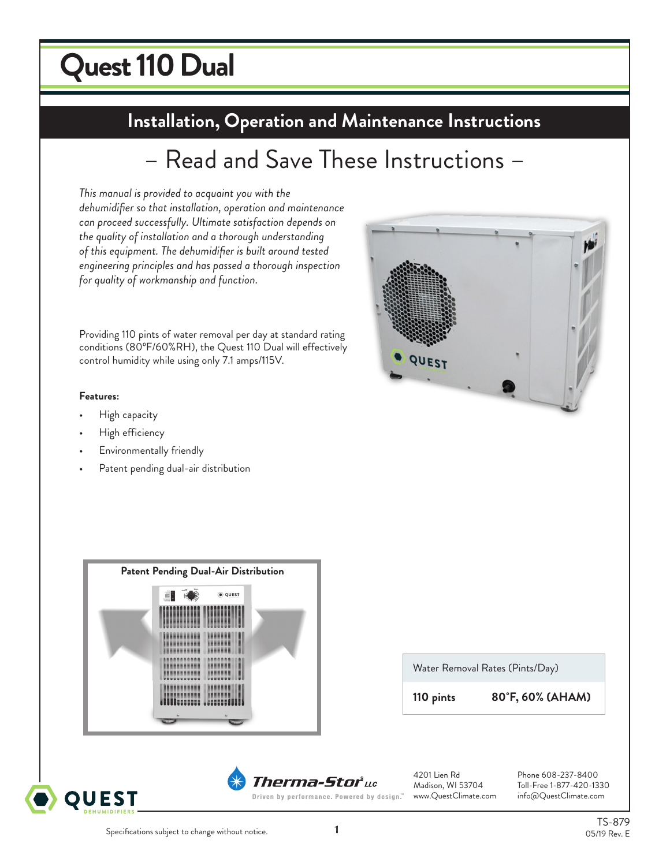# **Quest 110 Dual**

# **Installation, Operation and Maintenance Instructions Installation, Operation and Maintenance Instructions**

# – Read and Save These Instructions –

*This manual is provided to acquaint you with the dehumidifier so that installation, operation and maintenance can proceed successfully. Ultimate satisfaction depends on the quality of installation and a thorough understanding of this equipment. The dehumidifier is built around tested engineering principles and has passed a thorough inspection for quality of workmanship and function.*

Providing 110 pints of water removal per day at standard rating conditions (80ºF/60%RH), the Quest 110 Dual will effectively control humidity while using only 7.1 amps/115V.

#### **Features:**

- High capacity
- High efficiency
- Environmentally friendly
- Patent pending dual-air distribution









Water Removal Rates (Pints/Day)

**110 pints 80˚F, 60% (AHAM)**

4201 Lien Rd Phone 608-237-8400 Toll-Free 1-877-420-1330 Driven by performance. Powered by design." www.QuestClimate.com info@QuestClimate.com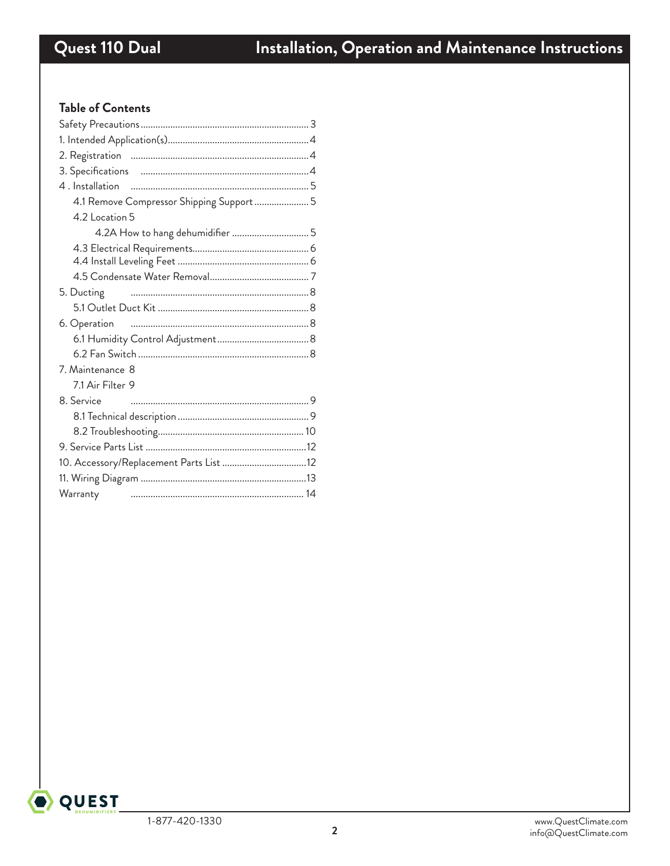### **Table of Contents**

| 4.1 Remove Compressor Shipping Support  5 |
|-------------------------------------------|
| 4.2 Location 5                            |
| 4.2A How to hang dehumidifier  5          |
|                                           |
|                                           |
|                                           |
| 5. Ducting                                |
|                                           |
| 6. Operation                              |
|                                           |
|                                           |
| 7. Maintenance 8                          |
| 7.1 Air Filter 9                          |
| 8. Service                                |
|                                           |
|                                           |
|                                           |
|                                           |
|                                           |
| Warranty                                  |

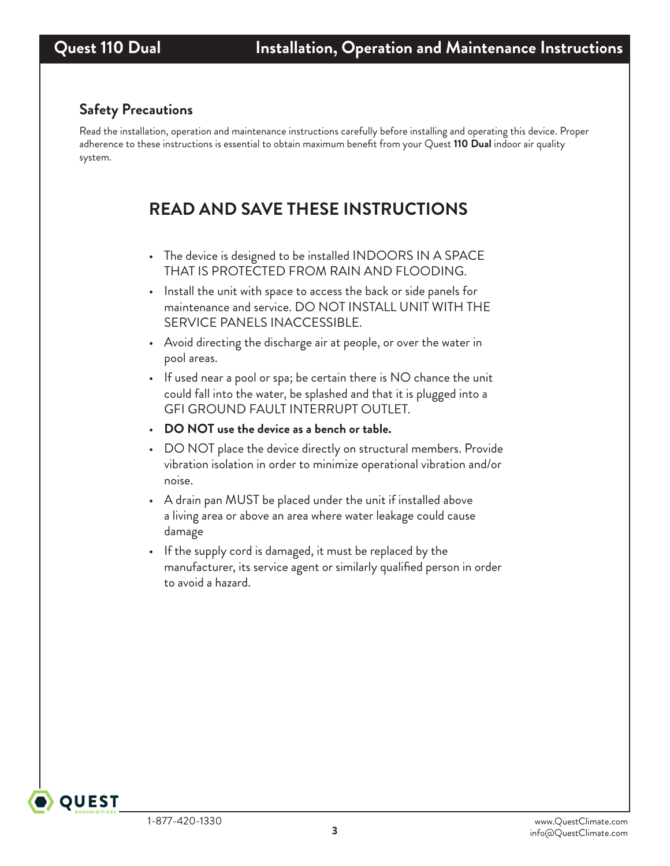## **Safety Precautions**

Read the installation, operation and maintenance instructions carefully before installing and operating this device. Proper adherence to these instructions is essential to obtain maximum benefit from your Quest **110 Dual** indoor air quality system.

# **READ AND SAVE THESE INSTRUCTIONS**

- The device is designed to be installed INDOORS IN A SPACE THAT IS PROTECTED FROM RAIN AND FLOODING.
- Install the unit with space to access the back or side panels for maintenance and service. DO NOT INSTALL UNIT WITH THE SERVICE PANELS INACCESSIBLE.
- Avoid directing the discharge air at people, or over the water in pool areas.
- If used near a pool or spa; be certain there is NO chance the unit could fall into the water, be splashed and that it is plugged into a GFI GROUND FAULT INTERRUPT OUTLET.
- **DO NOT use the device as a bench or table.**
- DO NOT place the device directly on structural members. Provide vibration isolation in order to minimize operational vibration and/or noise.
- A drain pan MUST be placed under the unit if installed above a living area or above an area where water leakage could cause damage
- If the supply cord is damaged, it must be replaced by the manufacturer, its service agent or similarly qualified person in order to avoid a hazard.

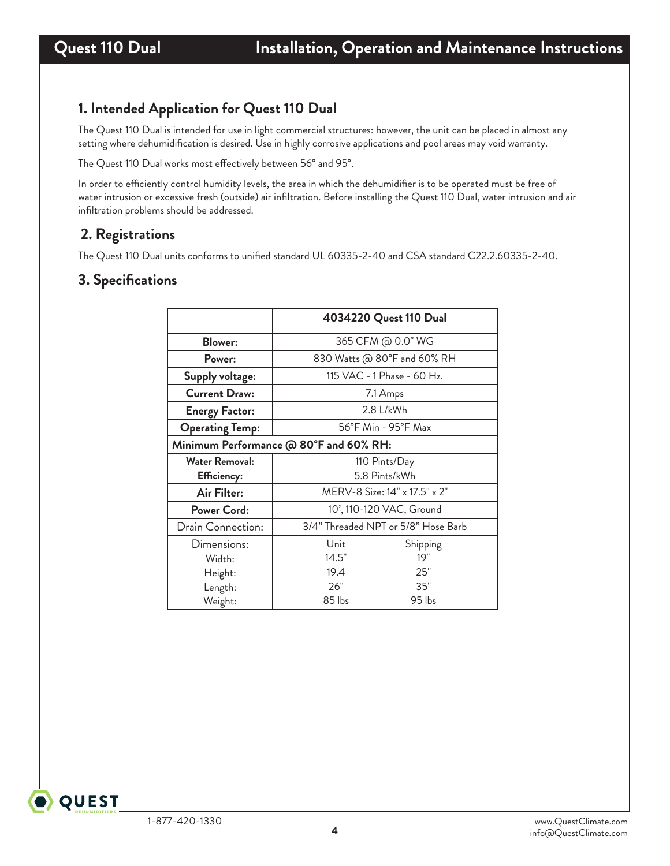### **1. Intended Application for Quest 110 Dual**

The Quest 110 Dual is intended for use in light commercial structures: however, the unit can be placed in almost any setting where dehumidification is desired. Use in highly corrosive applications and pool areas may void warranty.

The Quest 110 Dual works most effectively between 56° and 95°.

In order to efficiently control humidity levels, the area in which the dehumidifier is to be operated must be free of water intrusion or excessive fresh (outside) air infiltration. Before installing the Quest 110 Dual, water intrusion and air infiltration problems should be addressed.

### **2. Registrations**

The Quest 110 Dual units conforms to unified standard UL 60335-2-40 and CSA standard C22.2.60335-2-40.

#### **3. Specifications**

|                                        |                               | 4034220 Quest 110 Dual              |  |
|----------------------------------------|-------------------------------|-------------------------------------|--|
| <b>Blower:</b>                         |                               | 365 CFM @ 0.0" WG                   |  |
| Power:                                 | 830 Watts @ 80°F and 60% RH   |                                     |  |
| <b>Supply voltage:</b>                 | 115 VAC - 1 Phase - 60 Hz.    |                                     |  |
| <b>Current Draw:</b>                   | 7.1 Amps                      |                                     |  |
| <b>Energy Factor:</b>                  |                               | 2.8 L/kWh                           |  |
| <b>Operating Temp:</b>                 |                               | 56°F Min - 95°F Max                 |  |
| Minimum Performance @ 80°F and 60% RH: |                               |                                     |  |
| <b>Water Removal:</b>                  | 110 Pints/Day                 |                                     |  |
| Efficiency:                            | 5.8 Pints/kWh                 |                                     |  |
| Air Filter:                            | MERV-8 Size: 14" x 17.5" x 2" |                                     |  |
| Power Cord:                            |                               | 10', 110-120 VAC, Ground            |  |
| Drain Connection:                      |                               | 3/4" Threaded NPT or 5/8" Hose Barb |  |
| Dimensions:                            | Unit                          | Shipping                            |  |
| Width:                                 | 14.5"                         | 19"                                 |  |
| Height:                                | 19.4                          | 25"                                 |  |
| Length:                                | 26"                           | 35"                                 |  |
| Weight:                                | 85 lbs                        | 95 lbs                              |  |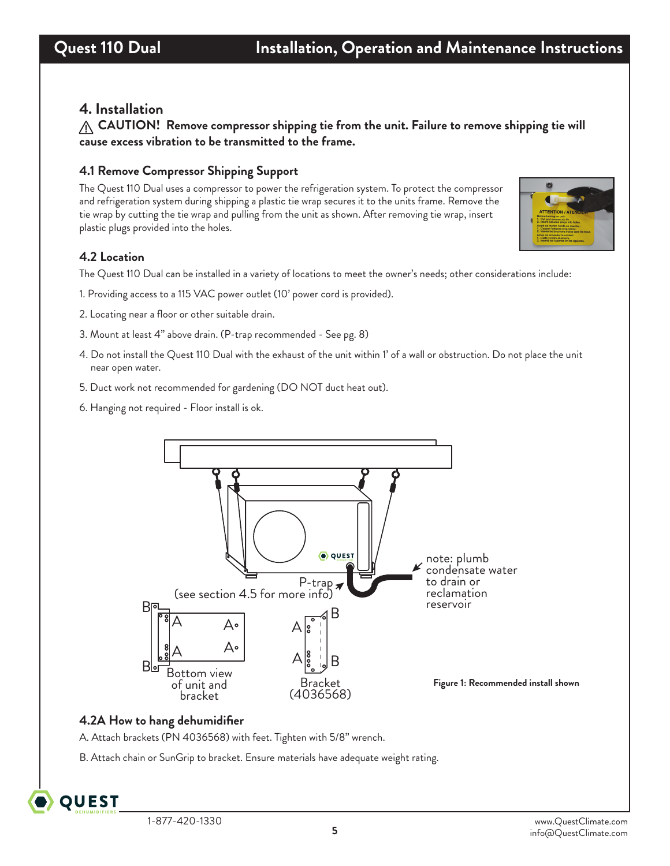#### **4. Installation**

**CAUTION! Remove compressor shipping tie from the unit. Failure to remove shipping tie will cause excess vibration to be transmitted to the frame.**

#### **4.1 Remove Compressor Shipping Support**

The Quest 110 Dual uses a compressor to power the refrigeration system. To protect the compressor and refrigeration system during shipping a plastic tie wrap secures it to the units frame. Remove the tie wrap by cutting the tie wrap and pulling from the unit as shown. After removing tie wrap, insert plastic plugs provided into the holes.



#### **4.2 Location**

The Quest 110 Dual can be installed in a variety of locations to meet the owner's needs; other considerations include:

- 1. Providing access to a 115 VAC power outlet (10' power cord is provided).
- 2. Locating near a floor or other suitable drain.
- 3. Mount at least 4" above drain. (P-trap recommended See pg. 8)
- 4. Do not install the Quest 110 Dual with the exhaust of the unit within 1' of a wall or obstruction. Do not place the unit near open water.
- 5. Duct work not recommended for gardening (DO NOT duct heat out).
- 6. Hanging not required Floor install is ok.



#### **4.2A How to hang dehumidifier**

A. Attach brackets (PN 4036568) with feet. Tighten with 5/8" wrench.

B. Attach chain or SunGrip to bracket. Ensure materials have adequate weight rating.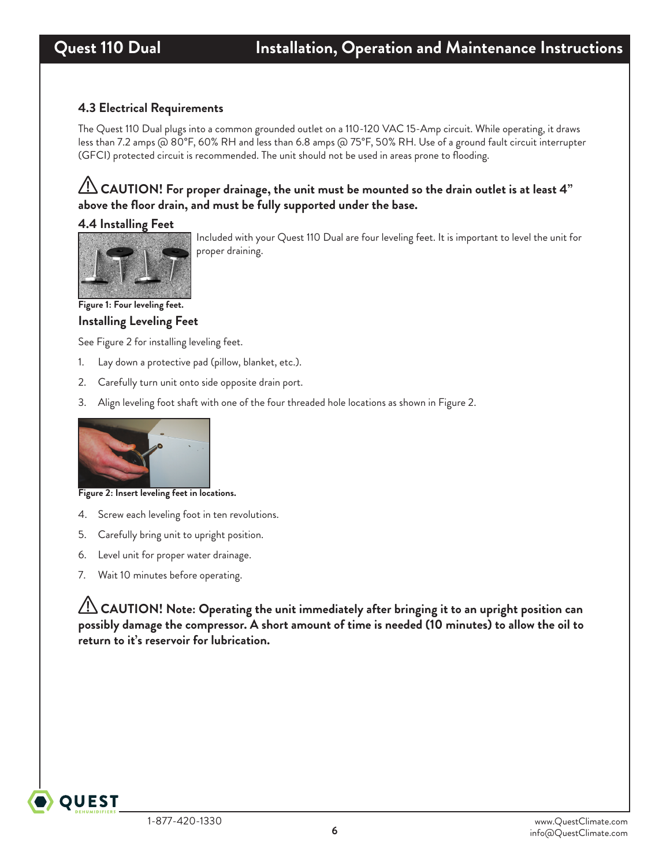#### **4.3 Electrical Requirements**

The Quest 110 Dual plugs into a common grounded outlet on a 110-120 VAC 15-Amp circuit. While operating, it draws less than 7.2 amps @ 80°F, 60% RH and less than 6.8 amps @ 75°F, 50% RH. Use of a ground fault circuit interrupter (GFCI) protected circuit is recommended. The unit should not be used in areas prone to flooding.

### **CAUTION! For proper drainage, the unit must be mounted so the drain outlet is at least 4" above the floor drain, and must be fully supported under the base.**

#### **4.4 Installing Feet**



Included with your Quest 110 Dual are four leveling feet. It is important to level the unit for proper draining.

**Installing Leveling Feet Figure 1: Four leveling feet.**

See Figure 2 for installing leveling feet.

- 1. Lay down a protective pad (pillow, blanket, etc.).
- 2. Carefully turn unit onto side opposite drain port.
- 3. Align leveling foot shaft with one of the four threaded hole locations as shown in Figure 2.



**Figure 2: Insert leveling feet in locations.**

- 4. Screw each leveling foot in ten revolutions.
- 5. Carefully bring unit to upright position.
- 6. Level unit for proper water drainage.
- 7. Wait 10 minutes before operating.

 **CAUTION! Note: Operating the unit immediately after bringing it to an upright position can possibly damage the compressor. A short amount of time is needed (10 minutes) to allow the oil to return to it's reservoir for lubrication.**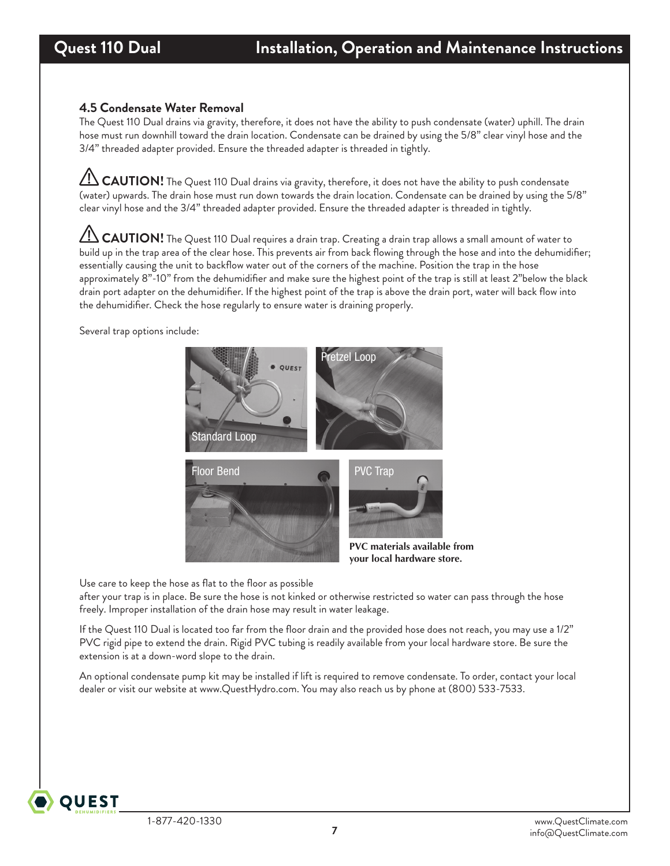#### **4.5 Condensate Water Removal**

The Quest 110 Dual drains via gravity, therefore, it does not have the ability to push condensate (water) uphill. The drain hose must run downhill toward the drain location. Condensate can be drained by using the 5/8" clear vinyl hose and the 3/4" threaded adapter provided. Ensure the threaded adapter is threaded in tightly.

**CAUTION!** The Quest 110 Dual drains via gravity, therefore, it does not have the ability to push condensate (water) upwards. The drain hose must run down towards the drain location. Condensate can be drained by using the 5/8" clear vinyl hose and the 3/4" threaded adapter provided. Ensure the threaded adapter is threaded in tightly.

 **CAUTION!** The Quest 110 Dual requires a drain trap. Creating a drain trap allows a small amount of water to build up in the trap area of the clear hose. This prevents air from back flowing through the hose and into the dehumidifier; essentially causing the unit to backflow water out of the corners of the machine. Position the trap in the hose approximately 8"-10" from the dehumidifier and make sure the highest point of the trap is still at least 2"below the black drain port adapter on the dehumidifier. If the highest point of the trap is above the drain port, water will back flow into the dehumidifier. Check the hose regularly to ensure water is draining properly.

Several trap options include:



Use care to keep the hose as flat to the floor as possible

after your trap is in place. Be sure the hose is not kinked or otherwise restricted so water can pass through the hose freely. Improper installation of the drain hose may result in water leakage.

If the Quest 110 Dual is located too far from the floor drain and the provided hose does not reach, you may use a 1/2" PVC rigid pipe to extend the drain. Rigid PVC tubing is readily available from your local hardware store. Be sure the extension is at a down-word slope to the drain.

An optional condensate pump kit may be installed if lift is required to remove condensate. To order, contact your local dealer or visit our website at www.QuestHydro.com. You may also reach us by phone at (800) 533-7533.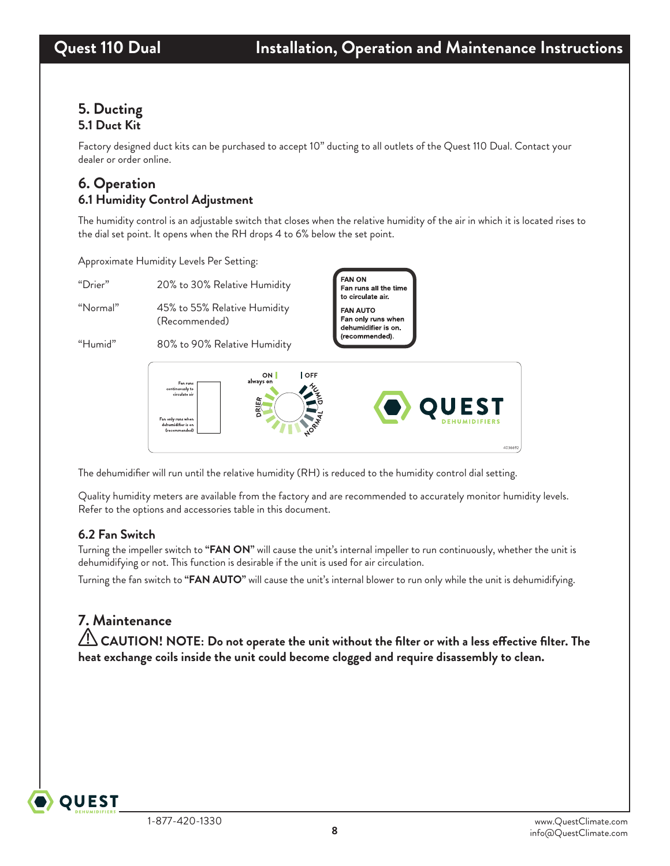#### **5. Ducting 5.1 Duct Kit**

Factory designed duct kits can be purchased to accept 10" ducting to all outlets of the Quest 110 Dual. Contact your dealer or order online.

## **6. Operation 6.1 Humidity Control Adjustment**

The humidity control is an adjustable switch that closes when the relative humidity of the air in which it is located rises to the dial set point. It opens when the RH drops 4 to 6% below the set point.

Approximate Humidity Levels Per Setting:

"Drier" 20% to 30% Relative Humidity

"Normal" 45% to 55% Relative Humidity (Recommended)

"Humid" 80% to 90% Relative Humidity





The dehumidifier will run until the relative humidity (RH) is reduced to the humidity control dial setting.

Quality humidity meters are available from the factory and are recommended to accurately monitor humidity levels. Refer to the options and accessories table in this document.

### **6.2 Fan Switch**

Turning the impeller switch to **"FAN ON"** will cause the unit's internal impeller to run continuously, whether the unit is dehumidifying or not. This function is desirable if the unit is used for air circulation.

Turning the fan switch to **"FAN AUTO"** will cause the unit's internal blower to run only while the unit is dehumidifying.

# **7. Maintenance**

**OUEST** 

 **CAUTION! NOTE: Do not operate the unit without the filter or with a less effective filter. The heat exchange coils inside the unit could become clogged and require disassembly to clean.**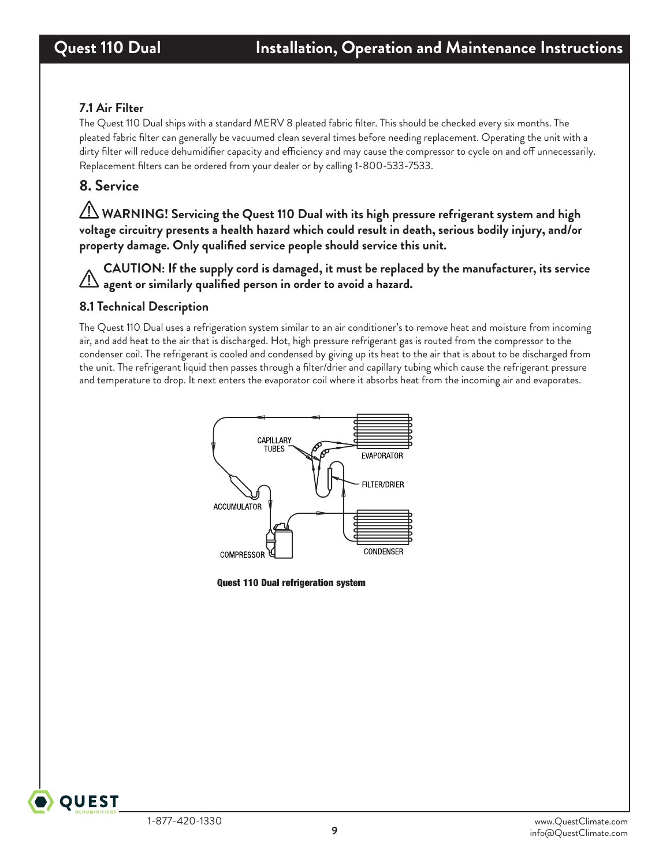#### **7.1 Air Filter**

The Quest 110 Dual ships with a standard MERV 8 pleated fabric filter. This should be checked every six months. The pleated fabric filter can generally be vacuumed clean several times before needing replacement. Operating the unit with a dirty filter will reduce dehumidifier capacity and efficiency and may cause the compressor to cycle on and off unnecessarily. Replacement filters can be ordered from your dealer or by calling 1-800-533-7533.

## **8. Service**

 **WARNING! Servicing the Quest 110 Dual with its high pressure refrigerant system and high voltage circuitry presents a health hazard which could result in death, serious bodily injury, and/or property damage. Only qualified service people should service this unit.**

**CAUTION: If the supply cord is damaged, it must be replaced by the manufacturer, its service agent or similarly qualified person in order to avoid a hazard.**

#### **8.1 Technical Description**

The Quest 110 Dual uses a refrigeration system similar to an air conditioner's to remove heat and moisture from incoming air, and add heat to the air that is discharged. Hot, high pressure refrigerant gas is routed from the compressor to the condenser coil. The refrigerant is cooled and condensed by giving up its heat to the air that is about to be discharged from the unit. The refrigerant liquid then passes through a filter/drier and capillary tubing which cause the refrigerant pressure and temperature to drop. It next enters the evaporator coil where it absorbs heat from the incoming air and evaporates.



Quest 110 Dual refrigeration system

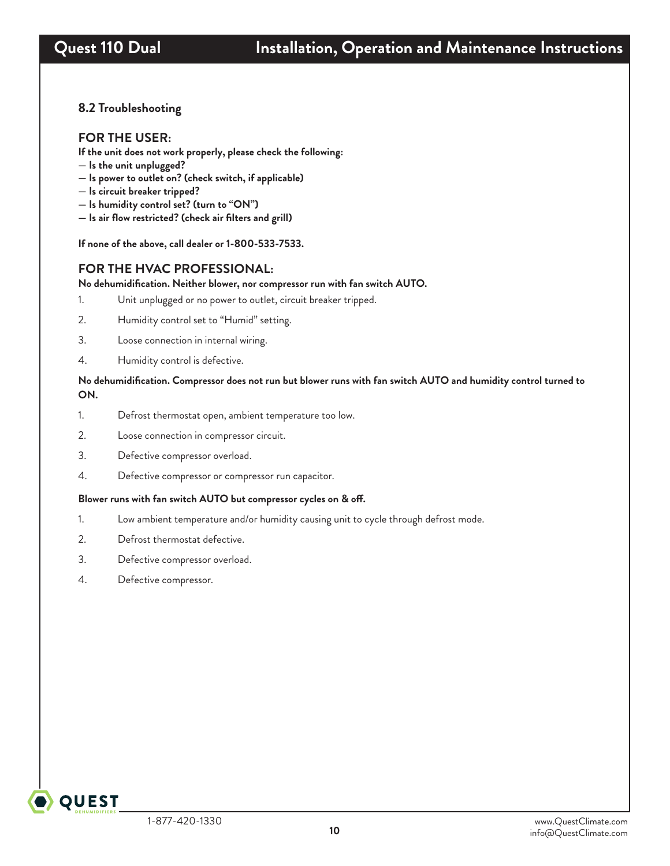#### **8.2 Troubleshooting**

#### **FOR THE USER:**

**If the unit does not work properly, please check the following:**

- **Is the unit unplugged?**
- **Is power to outlet on? (check switch, if applicable)**
- **Is circuit breaker tripped?**
- **Is humidity control set? (turn to "ON")**
- **Is air flow restricted? (check air filters and grill)**

**If none of the above, call dealer or 1-800-533-7533.**

#### **FOR THE HVAC PROFESSIONAL:**

**No dehumidification. Neither blower, nor compressor run with fan switch AUTO.**

- 1. Unit unplugged or no power to outlet, circuit breaker tripped.
- 2. Humidity control set to "Humid" setting.
- 3. Loose connection in internal wiring.
- 4. Humidity control is defective.

#### **No dehumidification. Compressor does not run but blower runs with fan switch AUTO and humidity control turned to ON.**

- 1. Defrost thermostat open, ambient temperature too low.
- 2. Loose connection in compressor circuit.
- 3. Defective compressor overload.
- 4. Defective compressor or compressor run capacitor.

#### **Blower runs with fan switch AUTO but compressor cycles on & off.**

- 1. Low ambient temperature and/or humidity causing unit to cycle through defrost mode.
- 2. Defrost thermostat defective.
- 3. Defective compressor overload.
- 4. Defective compressor.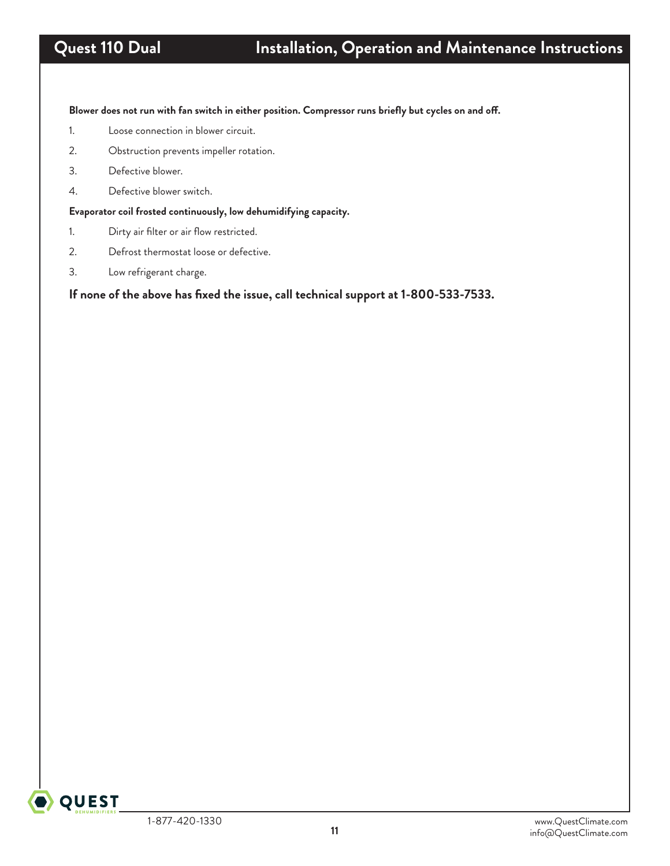**Blower does not run with fan switch in either position. Compressor runs briefly but cycles on and off.**

- 1. Loose connection in blower circuit.
- 2. Obstruction prevents impeller rotation.
- 3. Defective blower.
- 4. Defective blower switch.

**Evaporator coil frosted continuously, low dehumidifying capacity.**

- 1. Dirty air filter or air flow restricted.
- 2. Defrost thermostat loose or defective.
- 3. Low refrigerant charge.

**If none of the above has fixed the issue, call technical support at 1-800-533-7533.**

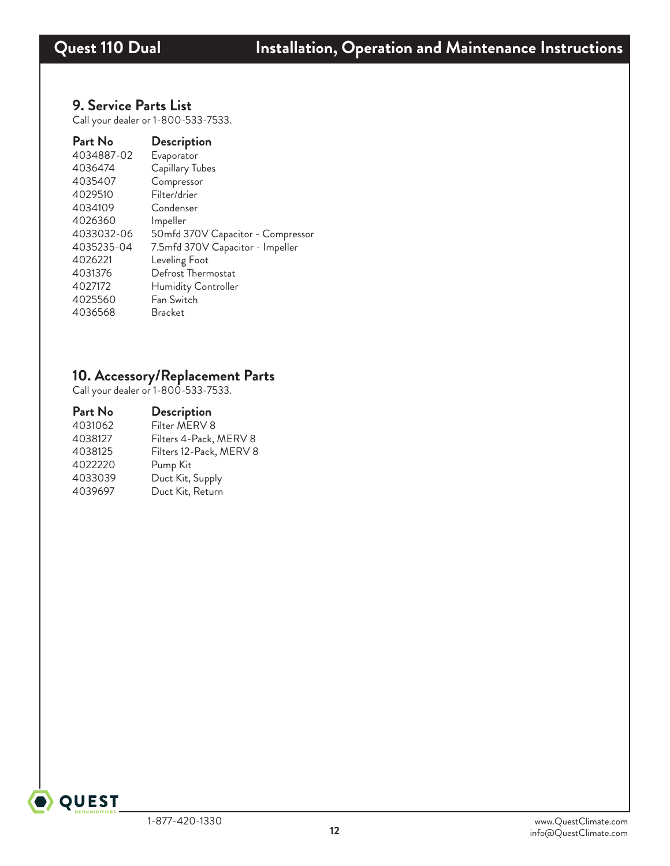#### **9. Service Parts List**

Call your dealer or 1-800-533-7533.

| Part No    | <b>Description</b>                |
|------------|-----------------------------------|
| 4034887-02 | Evaporator                        |
| 4036474    | Capillary Tubes                   |
| 4035407    | Compressor                        |
| 4029510    | Filter/drier                      |
| 4034109    | Condenser                         |
| 4026360    | Impeller                          |
| 4033032-06 | 50mfd 370V Capacitor - Compressor |
| 4035235-04 | 7.5mfd 370V Capacitor - Impeller  |
| 4026221    | Leveling Foot                     |
| 4031376    | Defrost Thermostat                |
| 4027172    | Humidity Controller               |
| 4025560    | Fan Switch                        |
| 4036568    | <b>Bracket</b>                    |

### **10. Accessory/Replacement Parts**

Call your dealer or 1-800-533-7533.

| Part No | <b>Description</b>      |
|---------|-------------------------|
| 4031062 | Filter MERV 8           |
| 4038127 | Filters 4-Pack, MERV 8  |
| 4038125 | Filters 12-Pack, MERV 8 |
| 4022220 | Pump Kit                |
| 4033039 | Duct Kit, Supply        |
| 4039697 | Duct Kit, Return        |
|         |                         |

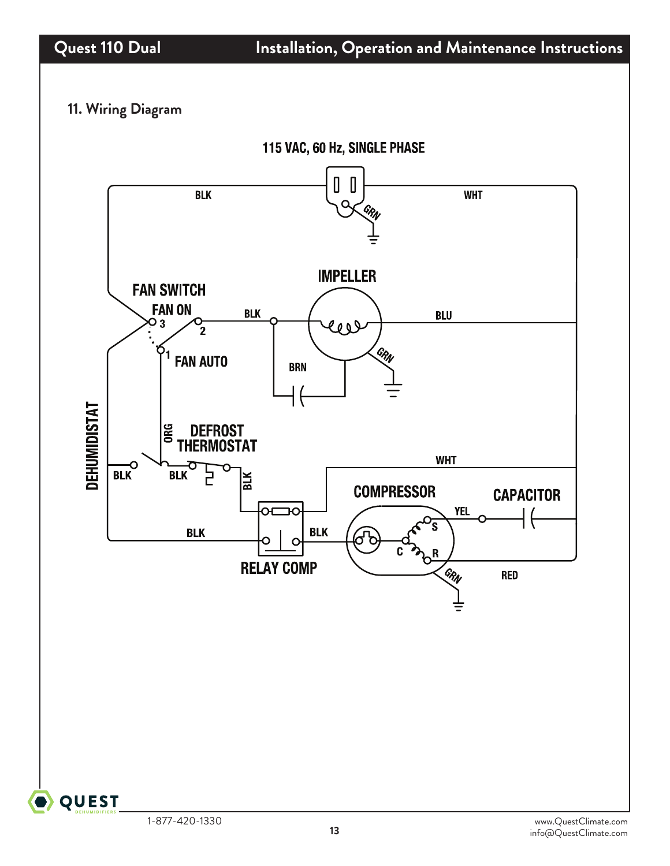# **11. Wiring Diagram**



**QUEST**